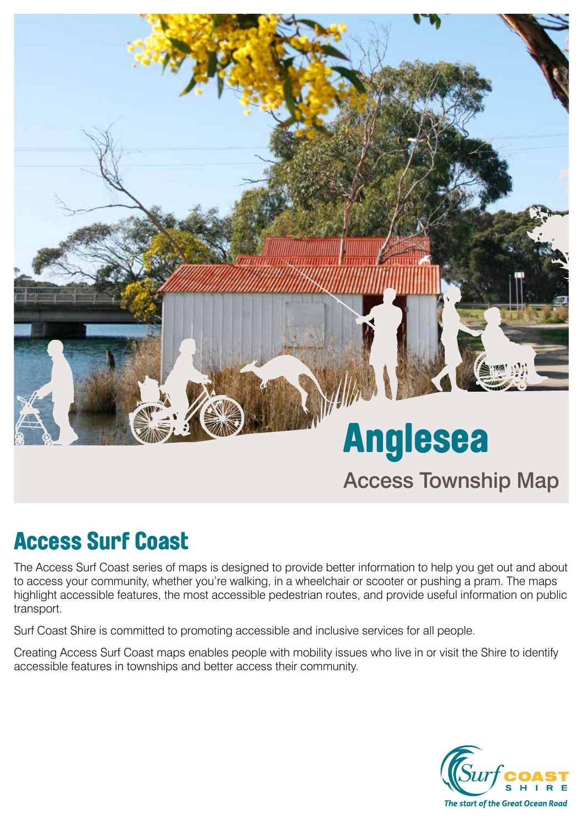

## Access Surf Coast

The Access Surf Coast series of maps is designed to provide better information to help you get out and about to access your community, whether you're walking, in a wheelchair or scooter or pushing a pram. The maps highlight accessible features, the most accessible pedestrian routes, and provide useful information on public transport.

Surf Coast Shire is committed to promoting accessible and inclusive services for all people.

Creating Access Surf Coast maps enables people with mobility issues who live in or visit the Shire to identify accessible features in townships and better access their community.

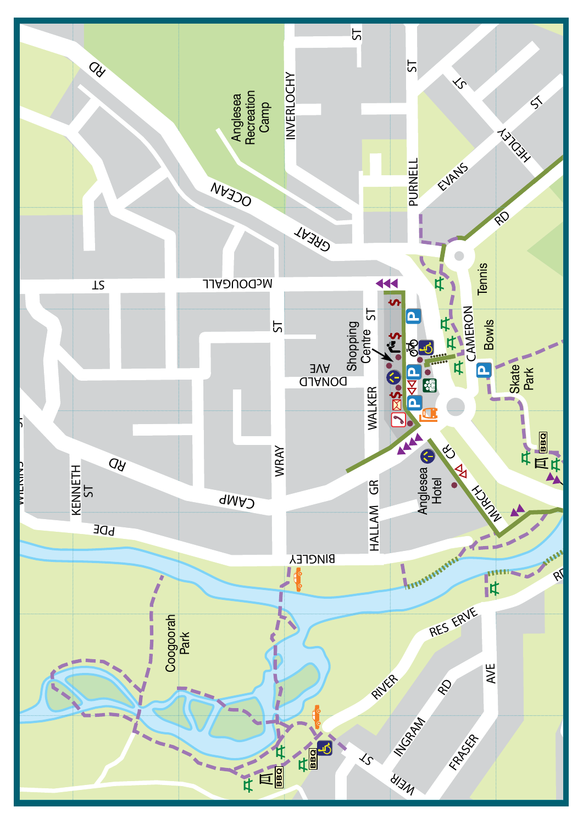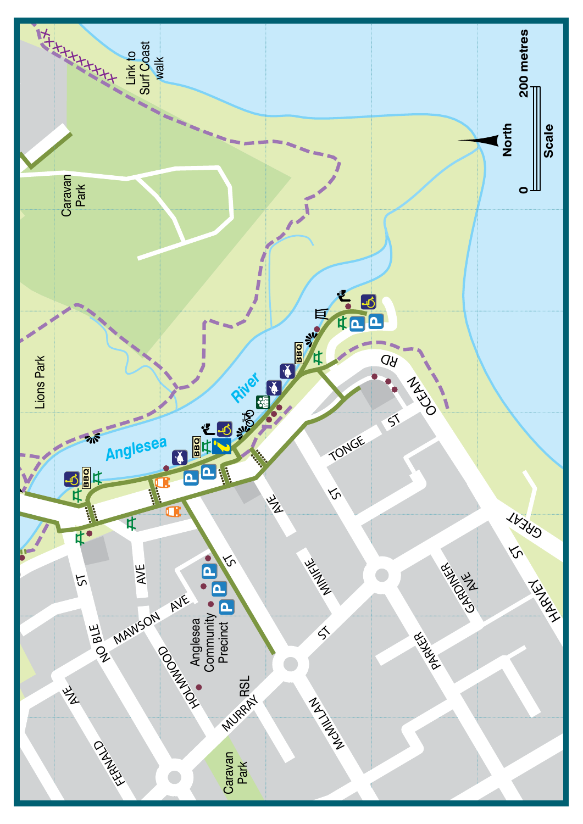